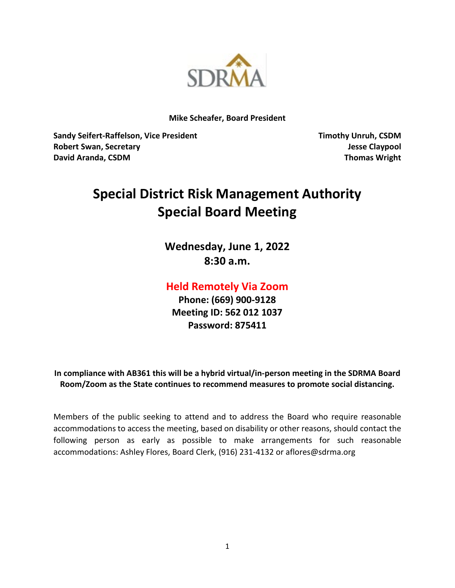

**Mike Scheafer, Board President**

**Sandy Seifert-Raffelson, Vice President Timothy Unruh, CSDM Robert Swan, Secretary Jesse Claypool David Aranda, CSDM Thomas Wright**

# **Special District Risk Management Authority Special Board Meeting**

**Wednesday, June 1, 2022 8:30 a.m.**

## **Held Remotely Via Zoom**

**Phone: (669) 900-9128 Meeting ID: 562 012 1037 Password: 875411**

**In compliance with AB361 this will be a hybrid virtual/in-person meeting in the SDRMA Board Room/Zoom as the State continues to recommend measures to promote social distancing.**

Members of the public seeking to attend and to address the Board who require reasonable accommodations to access the meeting, based on disability or other reasons, should contact the following person as early as possible to make arrangements for such reasonable accommodations: Ashley Flores, Board Clerk, (916) 231-4132 or aflores@sdrma.org